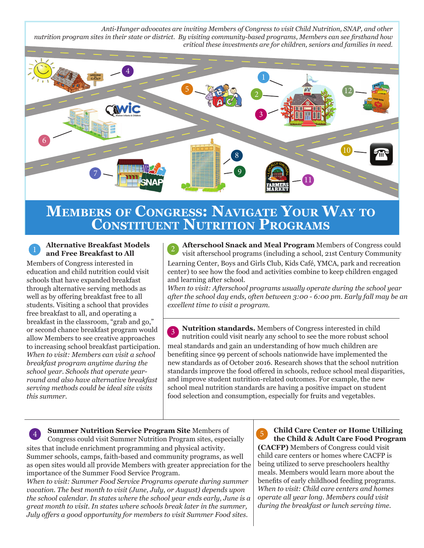*Anti-Hunger advocates are inviting Members of Congress to visit Child Nutrition, SNAP, and other nutrition program sites in their state or district. By visiting community-based programs, Members can see firsthand how critical these investments are for children, seniors and families in need.*



# **MeMbers of Congress: navigate Your WaY to Constituent nutrition PrograMs**

### **Alternative Breakfast Models and Free Breakfast to All**

Members of Congress interested in education and child nutrition could visit schools that have expanded breakfast through alternative serving methods as well as by offering breakfast free to all students. Visiting a school that provides free breakfast to all, and operating a breakfast in the classroom, "grab and go," or second chance breakfast program would allow Members to see creative approaches to increasing school breakfast participation. *When to visit: Members can visit a school breakfast program anytime during the school year. Schools that operate yearround and also have alternative breakfast serving methods could be ideal site visits this summer.*

**Afterschool Snack and Meal Program** Members of Congress could visit afterschool programs (including a school, 21st Century Community 2 Learning Center, Boys and Girls Club, Kids Café, YMCA, park and recreation center) to see how the food and activities combine to keep children engaged and learning after school.

*When to visit: Afterschool programs usually operate during the school year after the school day ends, often between 3:00 - 6:00 pm. Early fall may be an excellent time to visit a program.* 

**Nutrition standards.** Members of Congress interested in child nutrition could visit nearly any school to see the more robust school 3 meal standards and gain an understanding of how much children are benefiting since 99 percent of schools nationwide have implemented the new standards as of October 2016. Research shows that the school nutrition standards improve the food offered in schools, reduce school meal disparities, and improve student nutrition-related outcomes. For example, the new school meal nutrition standards are having a positive impact on student food selection and consumption, especially for fruits and vegetables.

**Summer Nutrition Service Program Site** Members of <sup>4</sup><br>Congress could visit Summer Nutrition Program sites, especially sites that include enrichment programming and physical activity. Summer schools, camps, faith-based and community programs, as well as open sites would all provide Members with greater appreciation for the importance of the Summer Food Service Program.

*When to visit: Summer Food Service Programs operate during summer vacation. The best month to visit (June, July, or August) depends upon the school calendar. In states where the school year ends early, June is a great month to visit. In states where schools break later in the summer, July offers a good opportunity for members to visit Summer Food sites.* 

**Child Care Center or Home Utilizing the Child & Adult Care Food Program** 

**(CACFP)** Members of Congress could visit child care centers or homes where CACFP is being utilized to serve preschoolers healthy meals. Members would learn more about the benefits of early childhood feeding programs. *When to visit: Child care centers and homes operate all year long. Members could visit during the breakfast or lunch serving time.*